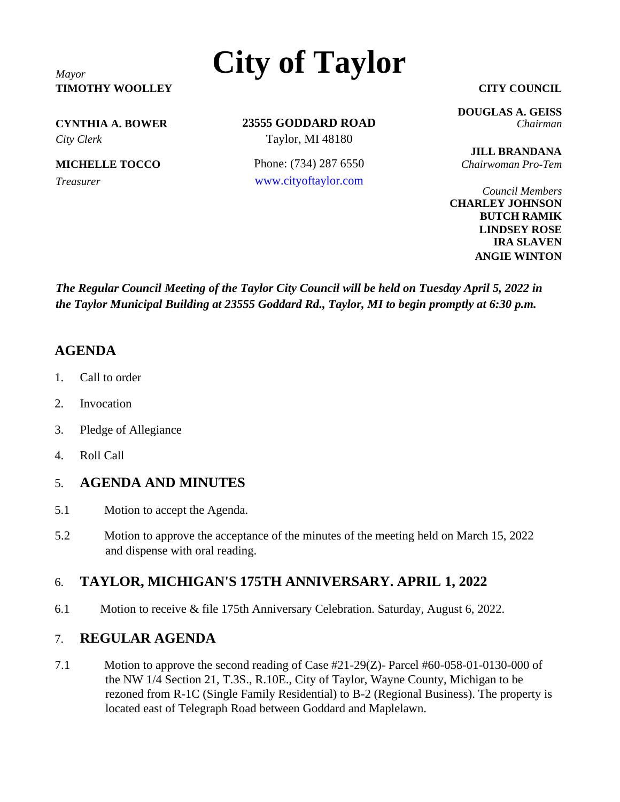## **TIMOTHY WOOLLEY CITY COUNCIL**

**23555 GODDARD ROAD CYNTHIA A. BOWER** *Chairman City Clerk* Taylor, MI 48180

**MICHELLE TOCCO** Phone: (734) 287 6550 *Chairwoman Pro-Tem Treasurer* [www.cityoftaylor.com](http://www.cityoftaylor.com/)

**DOUGLAS A. GEISS**

**JILL BRANDANA**

*Council Members* **CHARLEY JOHNSON BUTCH RAMIK LINDSEY ROSE IRA SLAVEN ANGIE WINTON**

*The Regular Council Meeting of the Taylor City Council will be held on Tuesday April 5, 2022 in the Taylor Municipal Building at 23555 Goddard Rd., Taylor, MI to begin promptly at 6:30 p.m.*

#### **AGENDA**

- 1. Call to order
- 2. Invocation
- 3. Pledge of Allegiance
- 4. Roll Call

#### 5. **AGENDA AND MINUTES**

- 5.1 Motion to accept the Agenda.
- 5.2 Motion to approve the acceptance of the minutes of the meeting held on March 15, 2022 and dispense with oral reading.

#### 6. **TAYLOR, MICHIGAN'S 175TH ANNIVERSARY. APRIL 1, 2022**

6.1 Motion to receive & file 175th Anniversary Celebration. Saturday, August 6, 2022.

#### 7. **REGULAR AGENDA**

7.1 Motion to approve the second reading of Case #21-29(Z)- Parcel #60-058-01-0130-000 of the NW 1/4 Section 21, T.3S., R.10E., City of Taylor, Wayne County, Michigan to be rezoned from R-1C (Single Family Residential) to B-2 (Regional Business). The property is located east of Telegraph Road between Goddard and Maplelawn.

# *Mayor* **City of Taylor**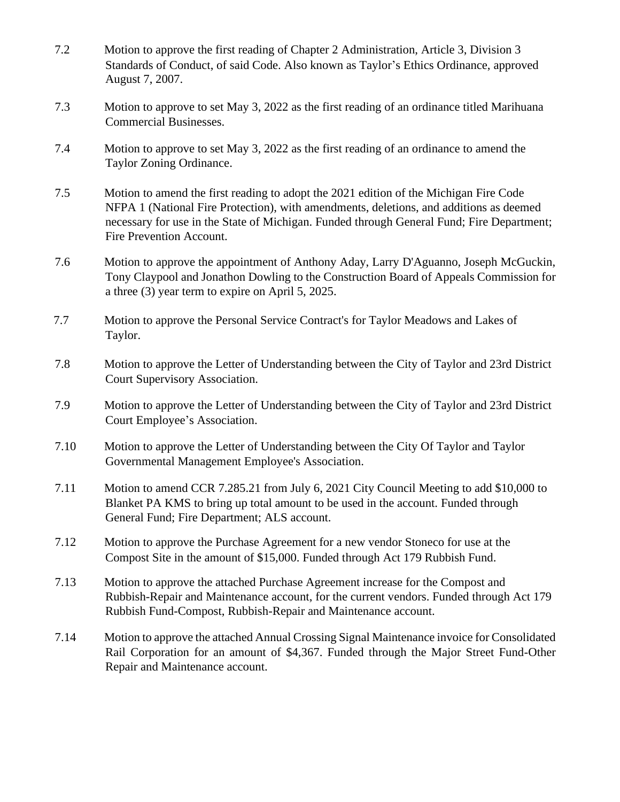- 7.2 Motion to approve the first reading of Chapter 2 Administration, Article 3, Division 3 Standards of Conduct, of said Code. Also known as Taylor's Ethics Ordinance, approved August 7, 2007.
- 7.3 Motion to approve to set May 3, 2022 as the first reading of an ordinance titled Marihuana Commercial Businesses.
- 7.4 Motion to approve to set May 3, 2022 as the first reading of an ordinance to amend the Taylor Zoning Ordinance.
- 7.5 Motion to amend the first reading to adopt the 2021 edition of the Michigan Fire Code NFPA 1 (National Fire Protection), with amendments, deletions, and additions as deemed necessary for use in the State of Michigan. Funded through General Fund; Fire Department; Fire Prevention Account.
- 7.6 Motion to approve the appointment of Anthony Aday, Larry D'Aguanno, Joseph McGuckin, Tony Claypool and Jonathon Dowling to the Construction Board of Appeals Commission for a three (3) year term to expire on April 5, 2025.
- 7.7 Motion to approve the Personal Service Contract's for Taylor Meadows and Lakes of Taylor.
- 7.8 Motion to approve the Letter of Understanding between the City of Taylor and 23rd District Court Supervisory Association.
- 7.9 Motion to approve the Letter of Understanding between the City of Taylor and 23rd District Court Employee's Association.
- 7.10 Motion to approve the Letter of Understanding between the City Of Taylor and Taylor Governmental Management Employee's Association.
- 7.11 Motion to amend CCR 7.285.21 from July 6, 2021 City Council Meeting to add \$10,000 to Blanket PA KMS to bring up total amount to be used in the account. Funded through General Fund; Fire Department; ALS account.
- 7.12 Motion to approve the Purchase Agreement for a new vendor Stoneco for use at the Compost Site in the amount of \$15,000. Funded through Act 179 Rubbish Fund.
- 7.13 Motion to approve the attached Purchase Agreement increase for the Compost and Rubbish-Repair and Maintenance account, for the current vendors. Funded through Act 179 Rubbish Fund-Compost, Rubbish-Repair and Maintenance account.
- 7.14 Motion to approve the attached Annual Crossing Signal Maintenance invoice for Consolidated Rail Corporation for an amount of \$4,367. Funded through the Major Street Fund-Other Repair and Maintenance account.